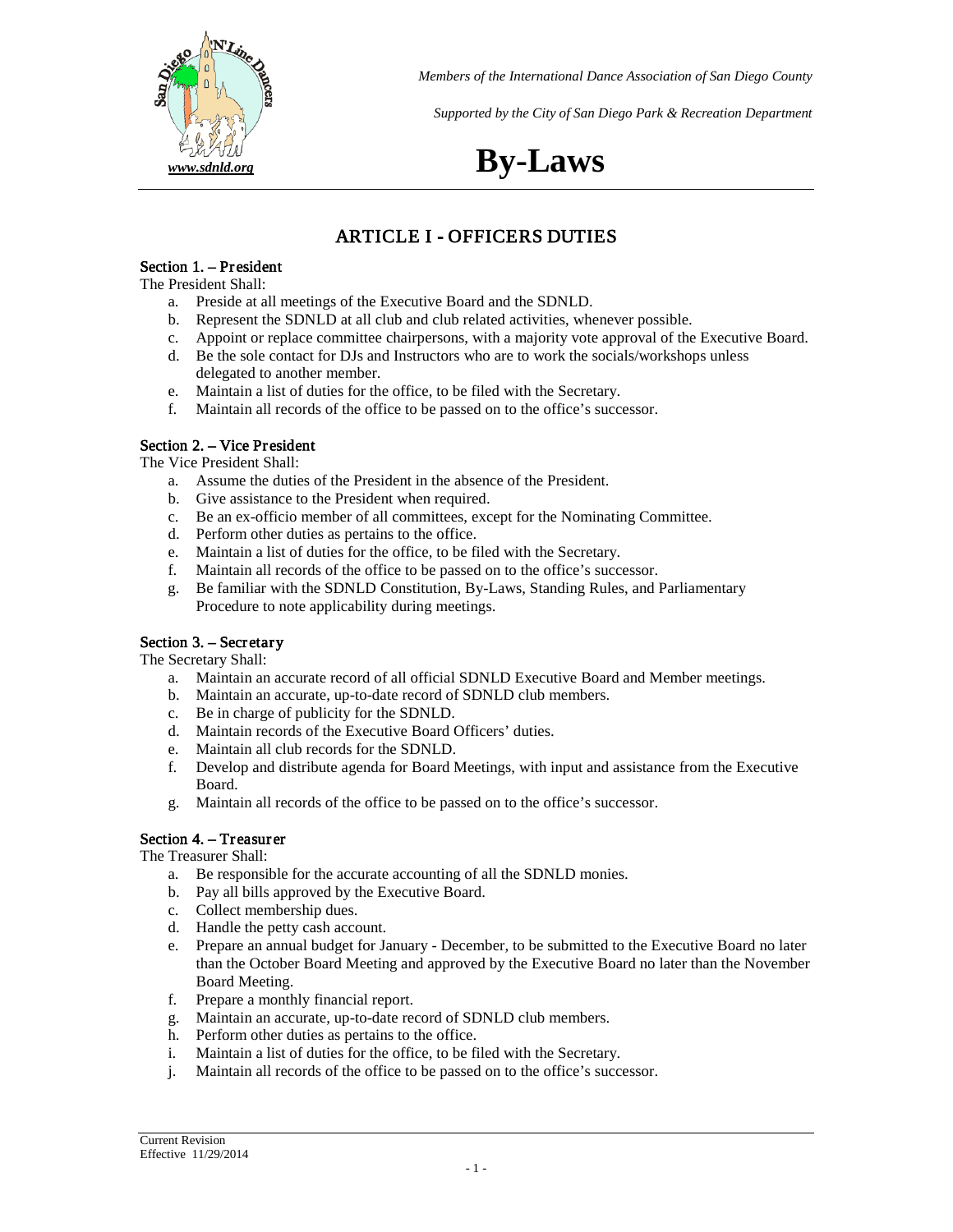

*Supported by the City of San Diego Park & Recreation Department*

# *[www.sdnld.org](http://www.sdnld.org/)* **By-Laws**

## ARTICLE I - OFFICERS DUTIES

#### Section 1. – President

The President Shall:

- a. Preside at all meetings of the Executive Board and the SDNLD.
- b. Represent the SDNLD at all club and club related activities, whenever possible.
- c. Appoint or replace committee chairpersons, with a majority vote approval of the Executive Board.
- d. Be the sole contact for DJs and Instructors who are to work the socials/workshops unless delegated to another member.
- e. Maintain a list of duties for the office, to be filed with the Secretary.
- f. Maintain all records of the office to be passed on to the office's successor.

#### Section 2. – Vice President

The Vice President Shall:

- a. Assume the duties of the President in the absence of the President.
- b. Give assistance to the President when required.
- c. Be an ex-officio member of all committees, except for the Nominating Committee.
- d. Perform other duties as pertains to the office.
- e. Maintain a list of duties for the office, to be filed with the Secretary.
- f. Maintain all records of the office to be passed on to the office's successor.
- g. Be familiar with the SDNLD Constitution, By-Laws, Standing Rules, and Parliamentary Procedure to note applicability during meetings.

#### Section 3. – Secretary

The Secretary Shall:

- a. Maintain an accurate record of all official SDNLD Executive Board and Member meetings.
- b. Maintain an accurate, up-to-date record of SDNLD club members.
- c. Be in charge of publicity for the SDNLD.
- d. Maintain records of the Executive Board Officers' duties.
- e. Maintain all club records for the SDNLD.
- f. Develop and distribute agenda for Board Meetings, with input and assistance from the Executive Board.
- g. Maintain all records of the office to be passed on to the office's successor.

#### Section 4. – Treasurer

The Treasurer Shall:

- a. Be responsible for the accurate accounting of all the SDNLD monies.
- b. Pay all bills approved by the Executive Board.
- c. Collect membership dues.
- d. Handle the petty cash account.
- e. Prepare an annual budget for January December, to be submitted to the Executive Board no later than the October Board Meeting and approved by the Executive Board no later than the November Board Meeting.
- f. Prepare a monthly financial report.
- g. Maintain an accurate, up-to-date record of SDNLD club members.
- h. Perform other duties as pertains to the office.
- i. Maintain a list of duties for the office, to be filed with the Secretary.
- j. Maintain all records of the office to be passed on to the office's successor.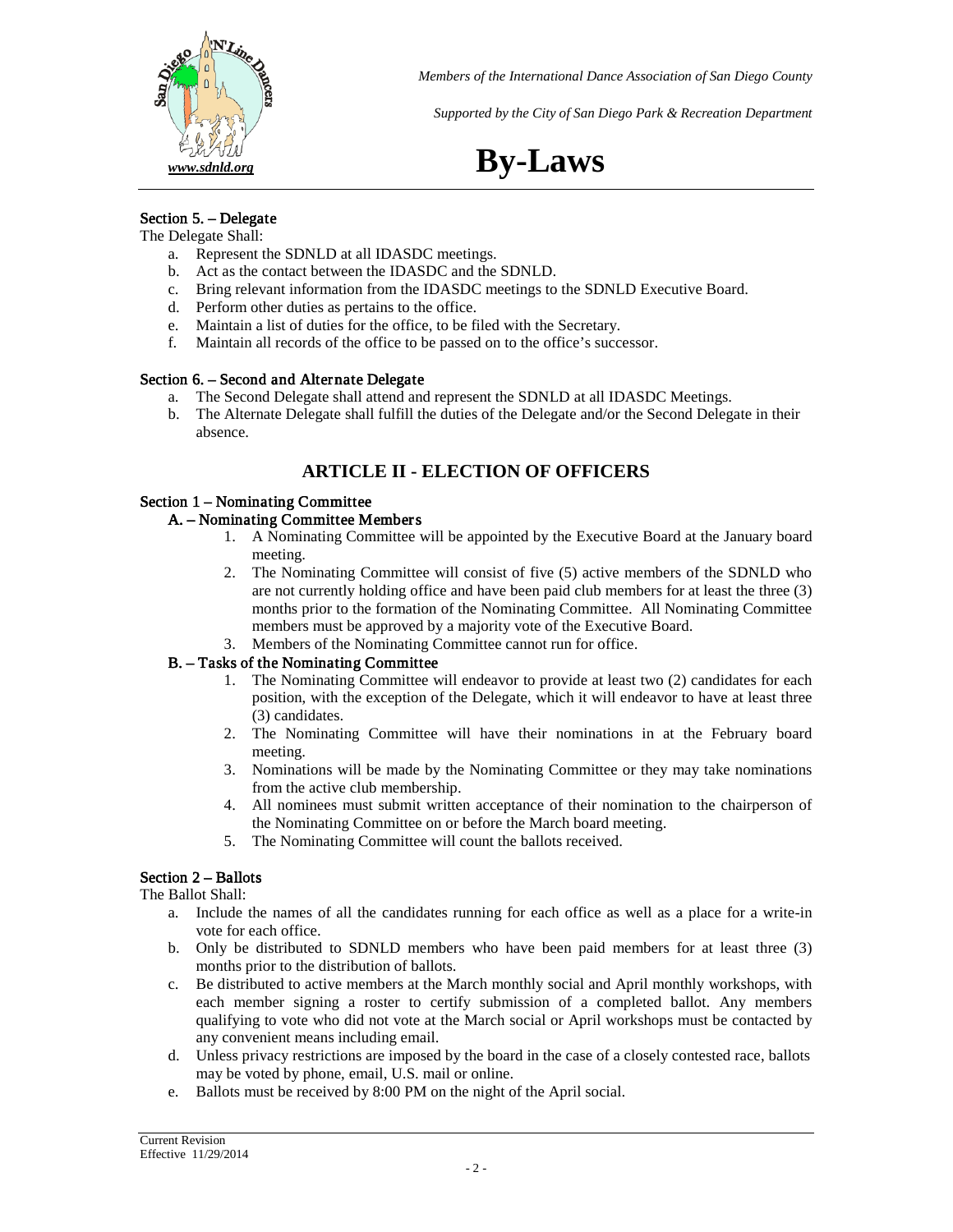

*Supported by the City of San Diego Park & Recreation Department*

# *[www.sdnld.org](http://www.sdnld.org/)* **By-Laws**

## Section 5. – Delegate

- The Delegate Shall:
	- a. Represent the SDNLD at all IDASDC meetings.
	- b. Act as the contact between the IDASDC and the SDNLD.
	- c. Bring relevant information from the IDASDC meetings to the SDNLD Executive Board.
	- d. Perform other duties as pertains to the office.
	- e. Maintain a list of duties for the office, to be filed with the Secretary.
	- f. Maintain all records of the office to be passed on to the office's successor.

#### Section 6. – Second and Alternate Delegate

- a. The Second Delegate shall attend and represent the SDNLD at all IDASDC Meetings.
- b. The Alternate Delegate shall fulfill the duties of the Delegate and/or the Second Delegate in their absence.

## **ARTICLE II - ELECTION OF OFFICERS**

#### Section 1 – Nominating Committee

#### A. – Nominating Committee Member s

- 1. A Nominating Committee will be appointed by the Executive Board at the January board meeting.
- 2. The Nominating Committee will consist of five (5) active members of the SDNLD who are not currently holding office and have been paid club members for at least the three (3) months prior to the formation of the Nominating Committee. All Nominating Committee members must be approved by a majority vote of the Executive Board.
- 3. Members of the Nominating Committee cannot run for office.

#### B. – Tasks of the Nominating Committee

- 1. The Nominating Committee will endeavor to provide at least two (2) candidates for each position, with the exception of the Delegate, which it will endeavor to have at least three (3) candidates.
- 2. The Nominating Committee will have their nominations in at the February board meeting.
- 3. Nominations will be made by the Nominating Committee or they may take nominations from the active club membership.
- 4. All nominees must submit written acceptance of their nomination to the chairperson of the Nominating Committee on or before the March board meeting.
- 5. The Nominating Committee will count the ballots received.

### Section 2 – Ballots

The Ballot Shall:

- a. Include the names of all the candidates running for each office as well as a place for a write-in vote for each office.
- b. Only be distributed to SDNLD members who have been paid members for at least three (3) months prior to the distribution of ballots.
- c. Be distributed to active members at the March monthly social and April monthly workshops, with each member signing a roster to certify submission of a completed ballot. Any members qualifying to vote who did not vote at the March social or April workshops must be contacted by any convenient means including email.
- d. Unless privacy restrictions are imposed by the board in the case of a closely contested race, ballots may be voted by phone, email, U.S. mail or online.
- e. Ballots must be received by 8:00 PM on the night of the April social.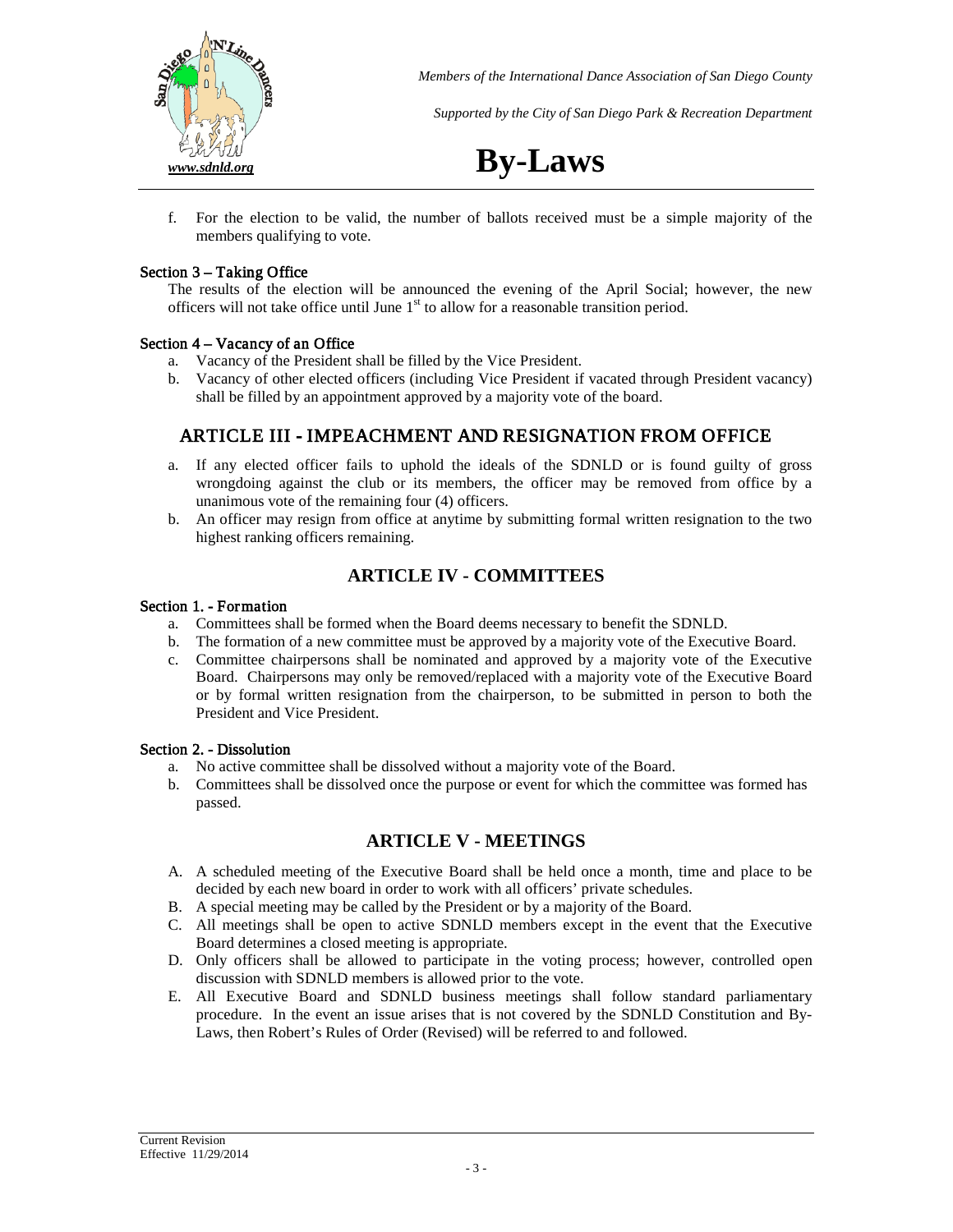

*Supported by the City of San Diego Park & Recreation Department*

*[www.sdnld.org](http://www.sdnld.org/)* **By-Laws**

f. For the election to be valid, the number of ballots received must be a simple majority of the members qualifying to vote.

#### Section 3 – Taking Office

The results of the election will be announced the evening of the April Social; however, the new officers will not take office until June  $1<sup>st</sup>$  to allow for a reasonable transition period.

#### Section 4 – Vacancy of an Office

- a. Vacancy of the President shall be filled by the Vice President.
- b. Vacancy of other elected officers (including Vice President if vacated through President vacancy) shall be filled by an appointment approved by a majority vote of the board.

## ARTICLE III - IMPEACHMENT AND RESIGNATION FROM OFFICE

- a. If any elected officer fails to uphold the ideals of the SDNLD or is found guilty of gross wrongdoing against the club or its members, the officer may be removed from office by a unanimous vote of the remaining four (4) officers.
- b. An officer may resign from office at anytime by submitting formal written resignation to the two highest ranking officers remaining.

### **ARTICLE IV - COMMITTEES**

#### Section 1. - Formation

- a. Committees shall be formed when the Board deems necessary to benefit the SDNLD.
- b. The formation of a new committee must be approved by a majority vote of the Executive Board.
- c. Committee chairpersons shall be nominated and approved by a majority vote of the Executive Board. Chairpersons may only be removed/replaced with a majority vote of the Executive Board or by formal written resignation from the chairperson, to be submitted in person to both the President and Vice President.

#### Section 2. - Dissolution

- a. No active committee shall be dissolved without a majority vote of the Board.
- b. Committees shall be dissolved once the purpose or event for which the committee was formed has passed.

### **ARTICLE V - MEETINGS**

- A. A scheduled meeting of the Executive Board shall be held once a month, time and place to be decided by each new board in order to work with all officers' private schedules.
- B. A special meeting may be called by the President or by a majority of the Board.
- C. All meetings shall be open to active SDNLD members except in the event that the Executive Board determines a closed meeting is appropriate.
- D. Only officers shall be allowed to participate in the voting process; however, controlled open discussion with SDNLD members is allowed prior to the vote.
- E. All Executive Board and SDNLD business meetings shall follow standard parliamentary procedure. In the event an issue arises that is not covered by the SDNLD Constitution and By-Laws, then Robert's Rules of Order (Revised) will be referred to and followed.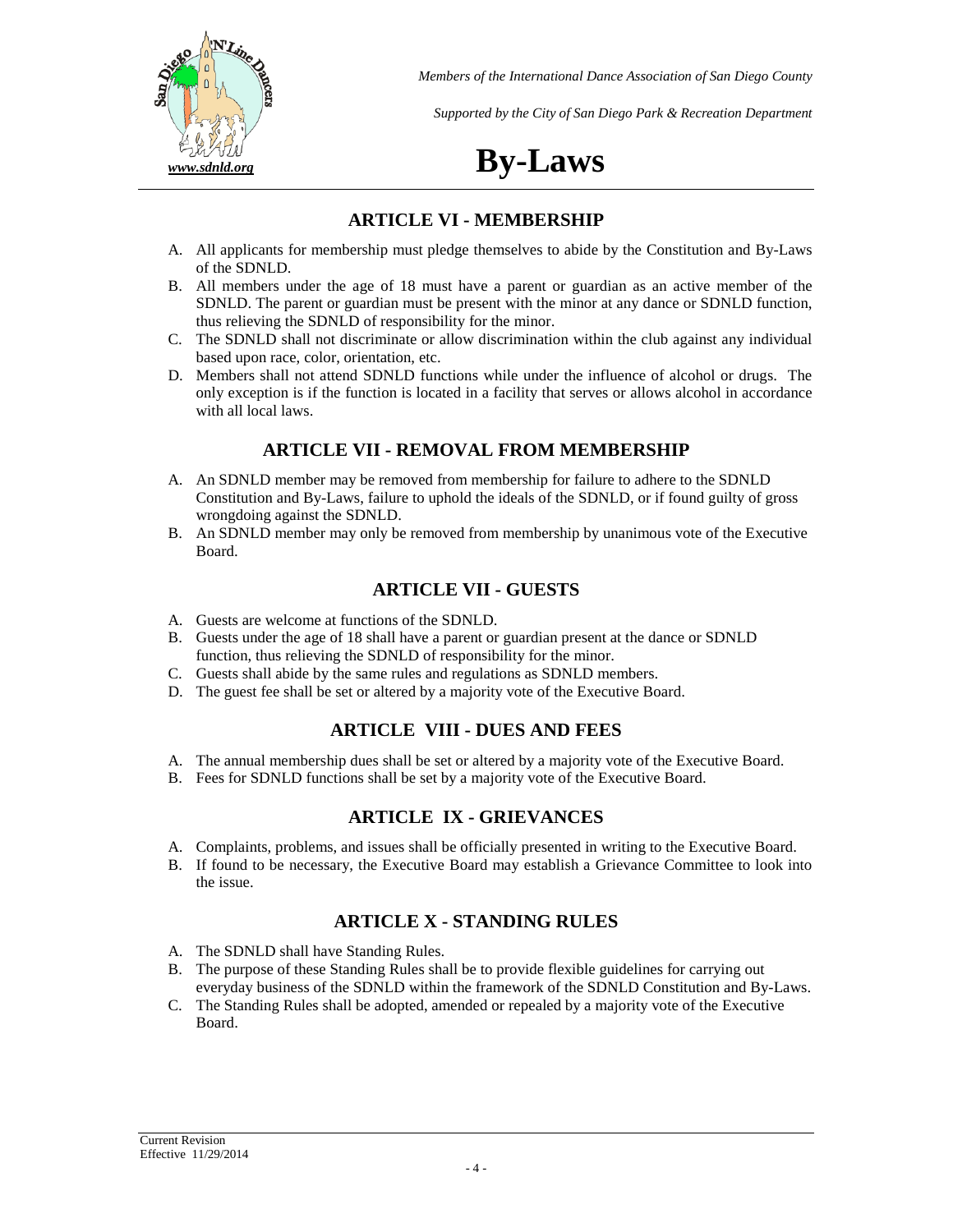

*Supported by the City of San Diego Park & Recreation Department*

# *[www.sdnld.org](http://www.sdnld.org/)* **By-Laws**

### **ARTICLE VI - MEMBERSHIP**

- A. All applicants for membership must pledge themselves to abide by the Constitution and By-Laws of the SDNLD.
- B. All members under the age of 18 must have a parent or guardian as an active member of the SDNLD. The parent or guardian must be present with the minor at any dance or SDNLD function, thus relieving the SDNLD of responsibility for the minor.
- C. The SDNLD shall not discriminate or allow discrimination within the club against any individual based upon race, color, orientation, etc.
- D. Members shall not attend SDNLD functions while under the influence of alcohol or drugs. The only exception is if the function is located in a facility that serves or allows alcohol in accordance with all local laws.

## **ARTICLE VII - REMOVAL FROM MEMBERSHIP**

- A. An SDNLD member may be removed from membership for failure to adhere to the SDNLD Constitution and By-Laws, failure to uphold the ideals of the SDNLD, or if found guilty of gross wrongdoing against the SDNLD.
- B. An SDNLD member may only be removed from membership by unanimous vote of the Executive Board.

## **ARTICLE VII - GUESTS**

- A. Guests are welcome at functions of the SDNLD.
- B. Guests under the age of 18 shall have a parent or guardian present at the dance or SDNLD function, thus relieving the SDNLD of responsibility for the minor.
- C. Guests shall abide by the same rules and regulations as SDNLD members.
- D. The guest fee shall be set or altered by a majority vote of the Executive Board.

## **ARTICLE VIII - DUES AND FEES**

- A. The annual membership dues shall be set or altered by a majority vote of the Executive Board.
- B. Fees for SDNLD functions shall be set by a majority vote of the Executive Board.

## **ARTICLE IX - GRIEVANCES**

- A. Complaints, problems, and issues shall be officially presented in writing to the Executive Board.
- B. If found to be necessary, the Executive Board may establish a Grievance Committee to look into the issue.

## **ARTICLE X - STANDING RULES**

- A. The SDNLD shall have Standing Rules.
- B. The purpose of these Standing Rules shall be to provide flexible guidelines for carrying out everyday business of the SDNLD within the framework of the SDNLD Constitution and By-Laws.
- C. The Standing Rules shall be adopted, amended or repealed by a majority vote of the Executive Board.